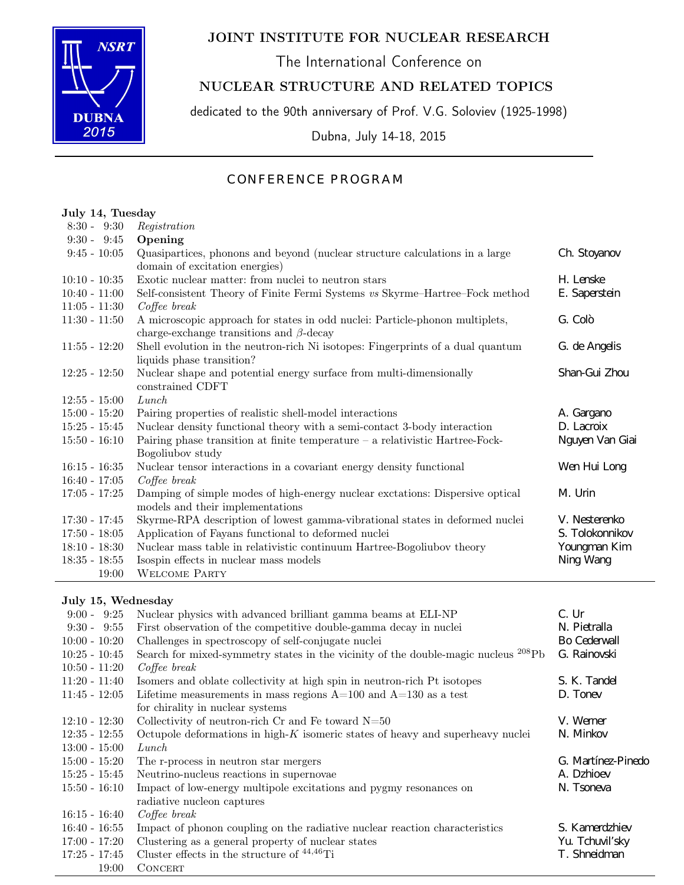

# JOINT INSTITUTE FOR NUCLEAR RESEARCH

The International Conference on

## NUCLEAR STRUCTURE AND RELATED TOPICS

dedicated to the 90th anniversary of Prof. V.G. Soloviev (1925-1998)

Dubna, July 14-18, 2015

## CONFERENCE PROGRAM

#### July 14, Tuesday  $8.30 - 9.30$  Registration

| $0.00 - 0.00$   | <b>Registration</b>                                                             |                 |
|-----------------|---------------------------------------------------------------------------------|-----------------|
| $9:30 - 9:45$   | Opening                                                                         |                 |
| $9:45 - 10:05$  | Quasipartices, phonons and beyond (nuclear structure calculations in a large    | Ch. Stoyanov    |
|                 | domain of excitation energies)                                                  |                 |
| $10:10 - 10:35$ | Exotic nuclear matter: from nuclei to neutron stars                             | H. Lenske       |
| $10:40 - 11:00$ | Self-consistent Theory of Finite Fermi Systems vs Skyrme-Hartree-Fock method    | E. Saperstein   |
| $11:05 - 11:30$ | $Cofee\ break$                                                                  |                 |
| $11:30 - 11:50$ | A microscopic approach for states in odd nuclei: Particle-phonon multiplets,    | G. Colò         |
|                 | charge-exchange transitions and $\beta$ -decay                                  |                 |
| $11:55 - 12:20$ | Shell evolution in the neutron-rich Ni isotopes: Fingerprints of a dual quantum | G. de Angelis   |
|                 | liquids phase transition?                                                       |                 |
| $12:25 - 12:50$ | Nuclear shape and potential energy surface from multi-dimensionally             | Shan-Gui Zhou   |
|                 | constrained CDFT                                                                |                 |
| $12:55 - 15:00$ | Lunch                                                                           |                 |
| $15:00 - 15:20$ | Pairing properties of realistic shell-model interactions                        | A. Gargano      |
| $15:25 - 15:45$ | Nuclear density functional theory with a semi-contact 3-body interaction        | D. Lacroix      |
| $15:50 - 16:10$ | Pairing phase transition at finite temperature $-$ a relativistic Hartree-Fock- | Nguyen Van Giai |
|                 | Bogoliubov study                                                                |                 |
| $16:15 - 16:35$ | Nuclear tensor interactions in a covariant energy density functional            | Wen Hui Long    |
| $16:40 - 17:05$ | $Cofee\ break$                                                                  |                 |
| $17:05 - 17:25$ | Damping of simple modes of high-energy nuclear exctations: Dispersive optical   | M. Urin         |
|                 | models and their implementations                                                |                 |
| $17:30 - 17:45$ | Skyrme-RPA description of lowest gamma-vibrational states in deformed nuclei    | V. Nesterenko   |
| $17:50 - 18:05$ | Application of Fayans functional to deformed nuclei                             | S. Tolokonnikov |
| $18:10 - 18:30$ | Nuclear mass table in relativistic continuum Hartree-Bogoliubov theory          | Youngman Kim    |
| $18:35 - 18:55$ | Isospin effects in nuclear mass models                                          | Ning Wang       |
| 19:00           | <b>WELCOME PARTY</b>                                                            |                 |
|                 |                                                                                 |                 |

### July 15, Wednesday

| $9:00 - 9:25$   | Nuclear physics with advanced brilliant gamma beams at ELI-NP                                  | C. Ur              |
|-----------------|------------------------------------------------------------------------------------------------|--------------------|
| $9:30 - 9:55$   | First observation of the competitive double-gamma decay in nuclei                              | N. Pietralla       |
| $10:00 - 10:20$ | Challenges in spectroscopy of self-conjugate nuclei                                            | Bo Cederwall       |
| $10:25 - 10:45$ | Search for mixed-symmetry states in the vicinity of the double-magic nucleus <sup>208</sup> Pb | G. Rainovski       |
| $10:50 - 11:20$ | $Cofee\ break$                                                                                 |                    |
| $11:20 - 11:40$ | Isomers and oblate collectivity at high spin in neutron-rich Pt isotopes                       | S. K. Tandel       |
| $11:45 - 12:05$ | Lifetime measurements in mass regions $A=100$ and $A=130$ as a test                            | D. Toney           |
|                 | for chirality in nuclear systems                                                               |                    |
| $12:10 - 12:30$ | Collectivity of neutron-rich $Cr$ and $Fe$ toward $N=50$                                       | V. Werner          |
| $12:35 - 12:55$ | Octupole deformations in high-K isomeric states of heavy and superheavy nuclei                 | N. Minkov          |
| $13:00 - 15:00$ | Lunch                                                                                          |                    |
| $15:00 - 15:20$ | The r-process in neutron star mergers                                                          | G. Martínez-Pinedo |
| $15:25 - 15:45$ | Neutrino-nucleus reactions in supernovae                                                       | A. Dzhioev         |
| $15:50 - 16:10$ | Impact of low-energy multipole excitations and pygmy resonances on                             | N. Tsoneva         |
|                 | radiative nucleon captures                                                                     |                    |
| $16:15 - 16:40$ | $Cofee\ break$                                                                                 |                    |
| $16:40 - 16:55$ | Impact of phonon coupling on the radiative nuclear reaction characteristics                    | S. Kamerdzhiev     |
| $17:00 - 17:20$ | Clustering as a general property of nuclear states                                             | Yu. Tchuvil'sky    |
| $17:25 - 17:45$ | Cluster effects in the structure of $44,46$ Ti                                                 | T. Shneidman       |
| 19:00           | <b>CONCERT</b>                                                                                 |                    |